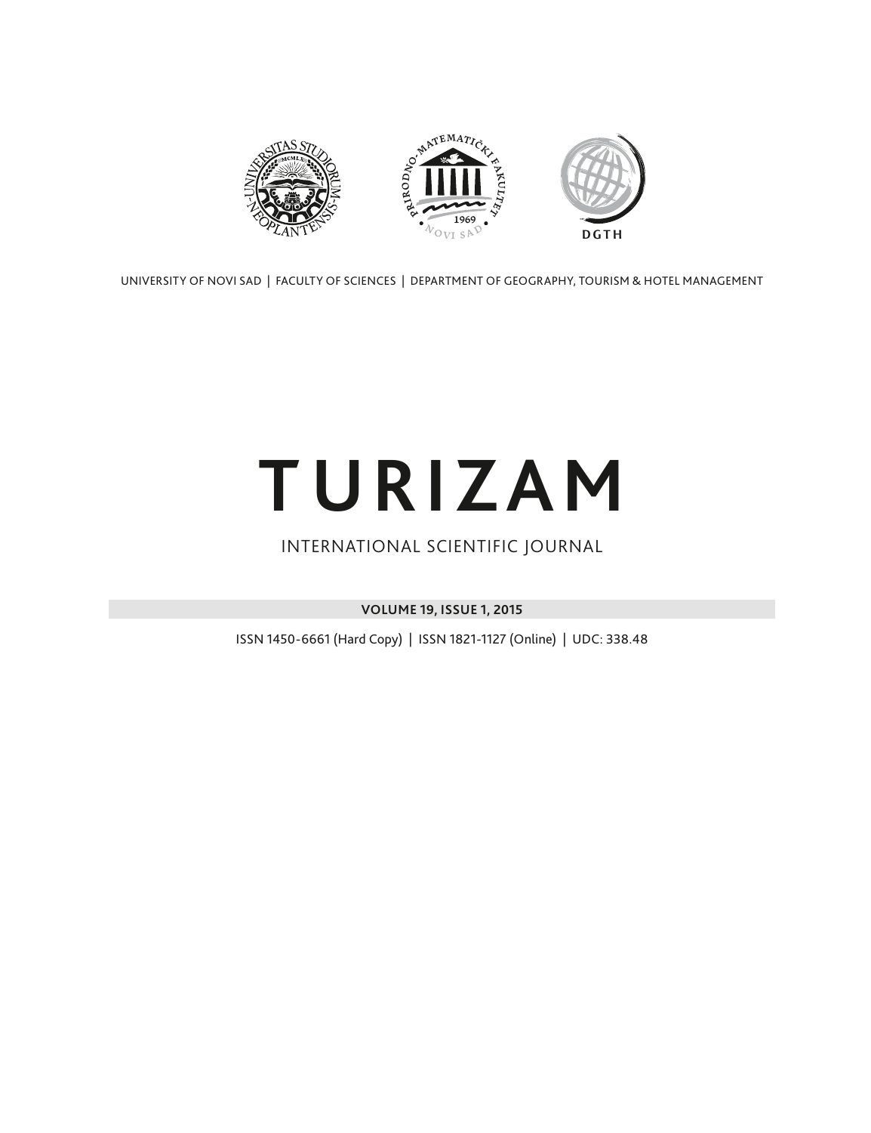

UNIVERSITY OF NOVI SAD | FACULTY OF SCIENCES | DEPARTMENT OF GEOGRAPHY, TOURISM & HOTEL MANAGEMENT

# **TURIZAM**

### INTERNATIONAL SCIENTIFIC JOURNAL

**VOLUME 19, ISSUE 1, 2015**

ISSN 1450-6661 (Hard Copy) | ISSN 1821-1127 (Online) | UDC: 338.48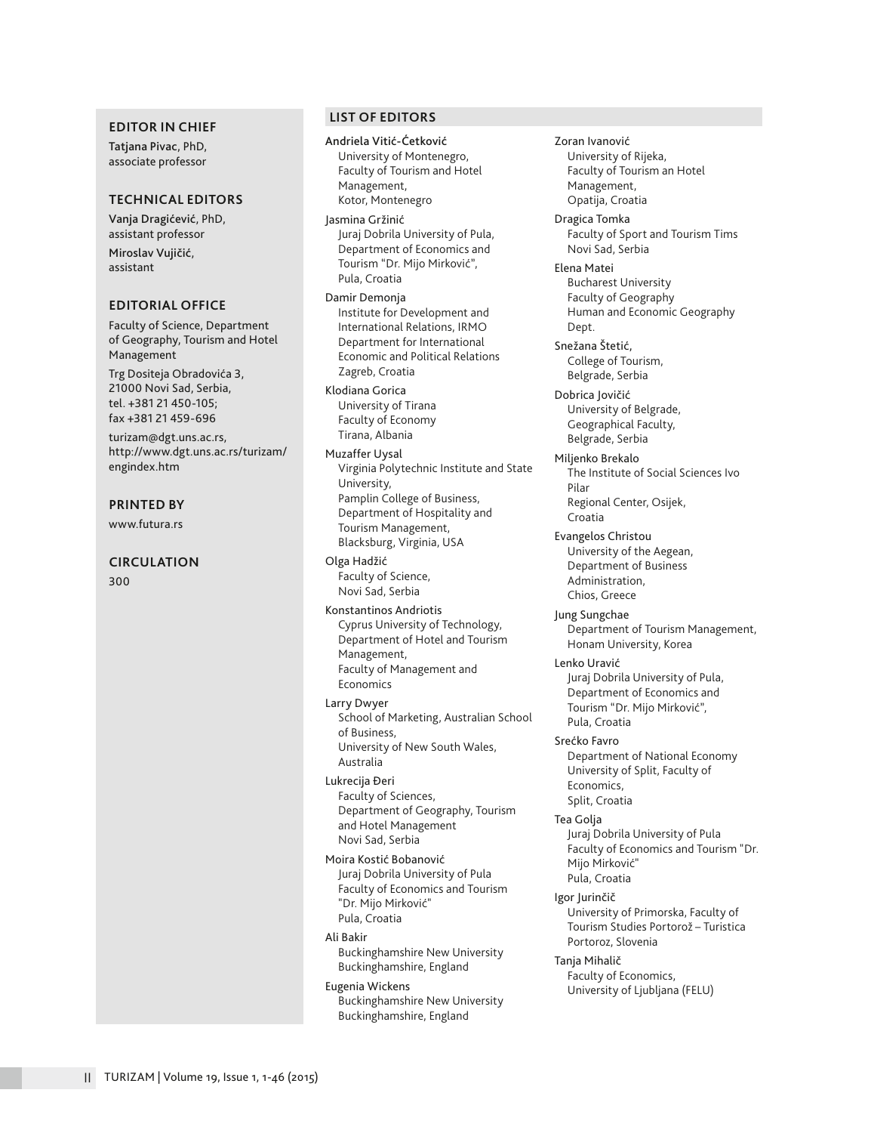#### **EDITOR IN CHIEF**

Tatjana Pivac, PhD, associate professor

#### **TECHNICAL EDITORS**

Vanja Dragićević, PhD, assistant professor Miroslav Vujičić,

assistant

#### **EDITORIAL OFFICE**

Faculty of Science, Department of Geography, Tourism and Hotel Management

Trg Dositeja Obradovića 3, 21000 Novi Sad, Serbia, tel. +381 21 450-105; fax +381 21 459-696

turizam@dgt.uns.ac.rs, http://www.dgt.uns.ac.rs/turizam/ engindex.htm

#### **PRINTED BY**

www.futura.rs

#### **CIRCULATION**

300

#### **LIST OF EDITORS**

Andriela Vitić-Ćetković University of Montenegro, Faculty of Tourism and Hotel Management, Kotor, Montenegro

Jasmina Gržinić Juraj Dobrila University of Pula, Department of Economics and Tourism "Dr. Mijo Mirković", Pula, Croatia

Damir Demonja Institute for Development and International Relations, IRMO Department for International Economic and Political Relations Zagreb, Croatia

Klodiana Gorica University of Tirana Faculty of Economy Tirana, Albania

Muzaffer Uysal Virginia Polytechnic Institute and State University, Pamplin College of Business, Department of Hospitality and Tourism Management, Blacksburg, Virginia, USA

Olga Hadžić Faculty of Science, Novi Sad, Serbia

Konstantinos Andriotis Cyprus University of Technology, Department of Hotel and Tourism Management, Faculty of Management and Economics

Larry Dwyer School of Marketing, Australian School of Business, University of New South Wales, Australia

Lukrecija Đeri Faculty of Sciences, Department of Geography, Tourism and Hotel Management Novi Sad, Serbia

Moira Kostić Bobanović Juraj Dobrila University of Pula Faculty of Economics and Tourism "Dr. Mijo Mirković" Pula, Croatia

Ali Bakir

Buckinghamshire New University Buckinghamshire, England

#### Eugenia Wickens

Buckinghamshire New University Buckinghamshire, England

University of Rijeka, Faculty of Tourism an Hotel Management, Opatija, Croatia Dragica Tomka Faculty of Sport and Tourism Tims Novi Sad, Serbia Elena Matei Bucharest University Faculty of Geography Human and Economic Geography Dept. Snežana Štetić, College of Tourism, Belgrade, Serbia Dobrica Jovičić University of Belgrade, Geographical Faculty, Belgrade, Serbia Miljenko Brekalo The Institute of Social Sciences Ivo Pilar Regional Center, Osijek, Croatia Evangelos Christou University of the Aegean, Department of Business Administration, Chios, Greece Jung Sungchae Department of Tourism Management, Honam University, Korea Lenko Uravić Juraj Dobrila University of Pula, Department of Economics and Tourism "Dr. Mijo Mirković", Pula, Croatia Srećko Favro Department of National Economy University of Split, Faculty of Economics, Split, Croatia Tea Golja Juraj Dobrila University of Pula Faculty of Economics and Tourism "Dr. Mijo Mirković" Pula, Croatia

Zoran Ivanović

Igor Jurinčič University of Primorska, Faculty of Tourism Studies Portorož – Turistica Portoroz, Slovenia

Tanja Mihalič Faculty of Economics, University of Ljubljana (FELU)